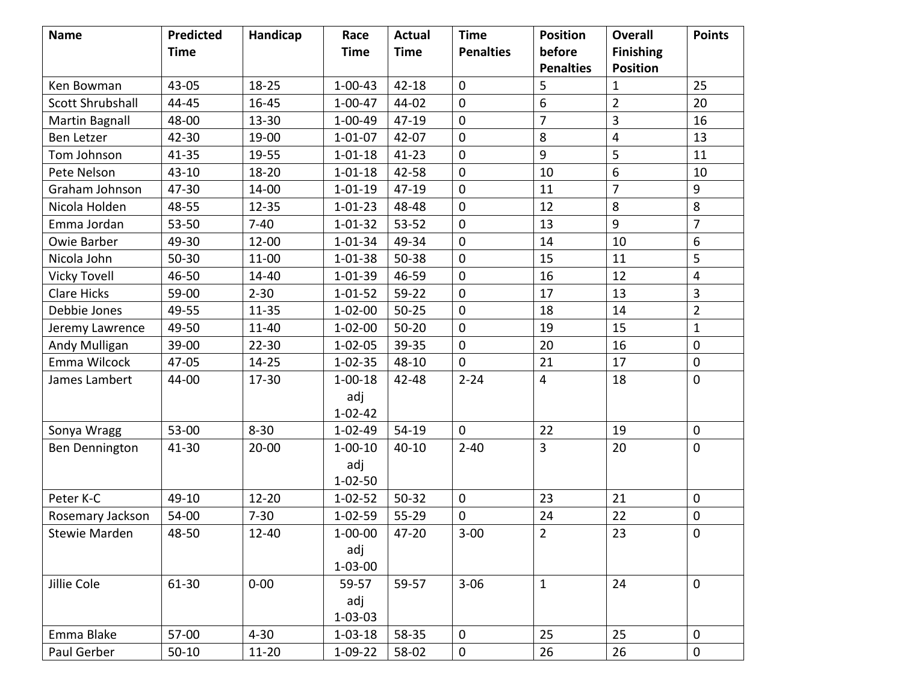| <b>Name</b>          | <b>Predicted</b> | Handicap  | Race          | <b>Actual</b> | <b>Time</b>      | <b>Position</b>  | <b>Overall</b>   | <b>Points</b>    |
|----------------------|------------------|-----------|---------------|---------------|------------------|------------------|------------------|------------------|
|                      | <b>Time</b>      |           | <b>Time</b>   | <b>Time</b>   | <b>Penalties</b> | before           | <b>Finishing</b> |                  |
|                      |                  |           |               |               |                  | <b>Penalties</b> | <b>Position</b>  |                  |
| Ken Bowman           | 43-05            | 18-25     | $1 - 00 - 43$ | $42 - 18$     | $\mathbf 0$      | 5                | $\mathbf{1}$     | 25               |
| Scott Shrubshall     | 44-45            | 16-45     | $1 - 00 - 47$ | 44-02         | $\overline{0}$   | 6                | $\overline{2}$   | 20               |
| Martin Bagnall       | 48-00            | $13 - 30$ | $1 - 00 - 49$ | 47-19         | $\mathbf 0$      | $\overline{7}$   | 3                | 16               |
| Ben Letzer           | 42-30            | 19-00     | $1 - 01 - 07$ | $42 - 07$     | $\mathbf 0$      | 8                | $\overline{4}$   | 13               |
| Tom Johnson          | $41 - 35$        | 19-55     | $1 - 01 - 18$ | $41 - 23$     | $\mathbf 0$      | 9                | 5                | 11               |
| Pete Nelson          | 43-10            | $18 - 20$ | $1 - 01 - 18$ | 42-58         | $\mathbf 0$      | 10               | 6                | 10               |
| Graham Johnson       | 47-30            | 14-00     | $1 - 01 - 19$ | 47-19         | $\mathbf 0$      | 11               | $\overline{7}$   | $9\,$            |
| Nicola Holden        | 48-55            | $12 - 35$ | $1 - 01 - 23$ | 48-48         | $\mathbf 0$      | 12               | 8                | 8                |
| Emma Jordan          | 53-50            | $7 - 40$  | $1 - 01 - 32$ | 53-52         | $\overline{0}$   | 13               | 9                | $\overline{7}$   |
| <b>Owie Barber</b>   | 49-30            | $12 - 00$ | $1 - 01 - 34$ | 49-34         | $\mathbf 0$      | 14               | 10               | $\boldsymbol{6}$ |
| Nicola John          | $50 - 30$        | $11 - 00$ | $1 - 01 - 38$ | 50-38         | $\mathbf 0$      | 15               | 11               | 5                |
| <b>Vicky Tovell</b>  | 46-50            | 14-40     | $1 - 01 - 39$ | 46-59         | $\pmb{0}$        | 16               | 12               | $\overline{4}$   |
| <b>Clare Hicks</b>   | 59-00            | $2 - 30$  | $1 - 01 - 52$ | $59 - 22$     | $\mathbf 0$      | 17               | 13               | $\overline{3}$   |
| Debbie Jones         | 49-55            | $11 - 35$ | $1 - 02 - 00$ | $50 - 25$     | $\mathbf 0$      | 18               | 14               | $\overline{2}$   |
| Jeremy Lawrence      | 49-50            | $11 - 40$ | $1 - 02 - 00$ | $50 - 20$     | $\pmb{0}$        | 19               | 15               | $\mathbf{1}$     |
| Andy Mulligan        | 39-00            | $22 - 30$ | $1 - 02 - 05$ | 39-35         | $\mathbf{0}$     | 20               | 16               | $\pmb{0}$        |
| Emma Wilcock         | 47-05            | $14 - 25$ | $1 - 02 - 35$ | 48-10         | $\mathbf{0}$     | 21               | 17               | $\pmb{0}$        |
| James Lambert        | 44-00            | $17 - 30$ | $1 - 00 - 18$ | 42-48         | $2 - 24$         | 4                | 18               | $\mathbf 0$      |
|                      |                  |           | adj           |               |                  |                  |                  |                  |
|                      |                  |           | $1 - 02 - 42$ |               |                  |                  |                  |                  |
| Sonya Wragg          | 53-00            | $8 - 30$  | $1 - 02 - 49$ | 54-19         | $\mathbf 0$      | 22               | 19               | $\pmb{0}$        |
| Ben Dennington       | 41-30            | $20 - 00$ | $1 - 00 - 10$ | $40 - 10$     | $2 - 40$         | 3                | 20               | $\pmb{0}$        |
|                      |                  |           | adj           |               |                  |                  |                  |                  |
|                      |                  |           | $1 - 02 - 50$ |               |                  |                  |                  |                  |
| Peter K-C            | 49-10            | $12 - 20$ | $1 - 02 - 52$ | $50 - 32$     | $\mathbf 0$      | 23               | 21               | $\mathbf 0$      |
| Rosemary Jackson     | 54-00            | $7 - 30$  | $1 - 02 - 59$ | 55-29         | $\mathbf 0$      | 24               | 22               | $\pmb{0}$        |
| <b>Stewie Marden</b> | 48-50            | $12 - 40$ | $1 - 00 - 00$ | 47-20         | $3 - 00$         | $\overline{2}$   | 23               | $\mathbf 0$      |
|                      |                  |           | adj           |               |                  |                  |                  |                  |
|                      |                  |           | $1 - 03 - 00$ |               |                  |                  |                  |                  |
| Jillie Cole          | 61-30            | $0 - 00$  | 59-57         | 59-57         | $3 - 06$         | $\mathbf{1}$     | 24               | $\mathbf 0$      |
|                      |                  |           | adj           |               |                  |                  |                  |                  |
|                      |                  |           | $1 - 03 - 03$ |               |                  |                  |                  |                  |
| Emma Blake           | 57-00            | $4 - 30$  | $1 - 03 - 18$ | 58-35         | $\mathbf 0$      | 25               | 25               | $\mathbf 0$      |
| Paul Gerber          | $50 - 10$        | $11 - 20$ | $1-09-22$     | 58-02         | $\mathbf 0$      | 26               | 26               | $\mathbf 0$      |